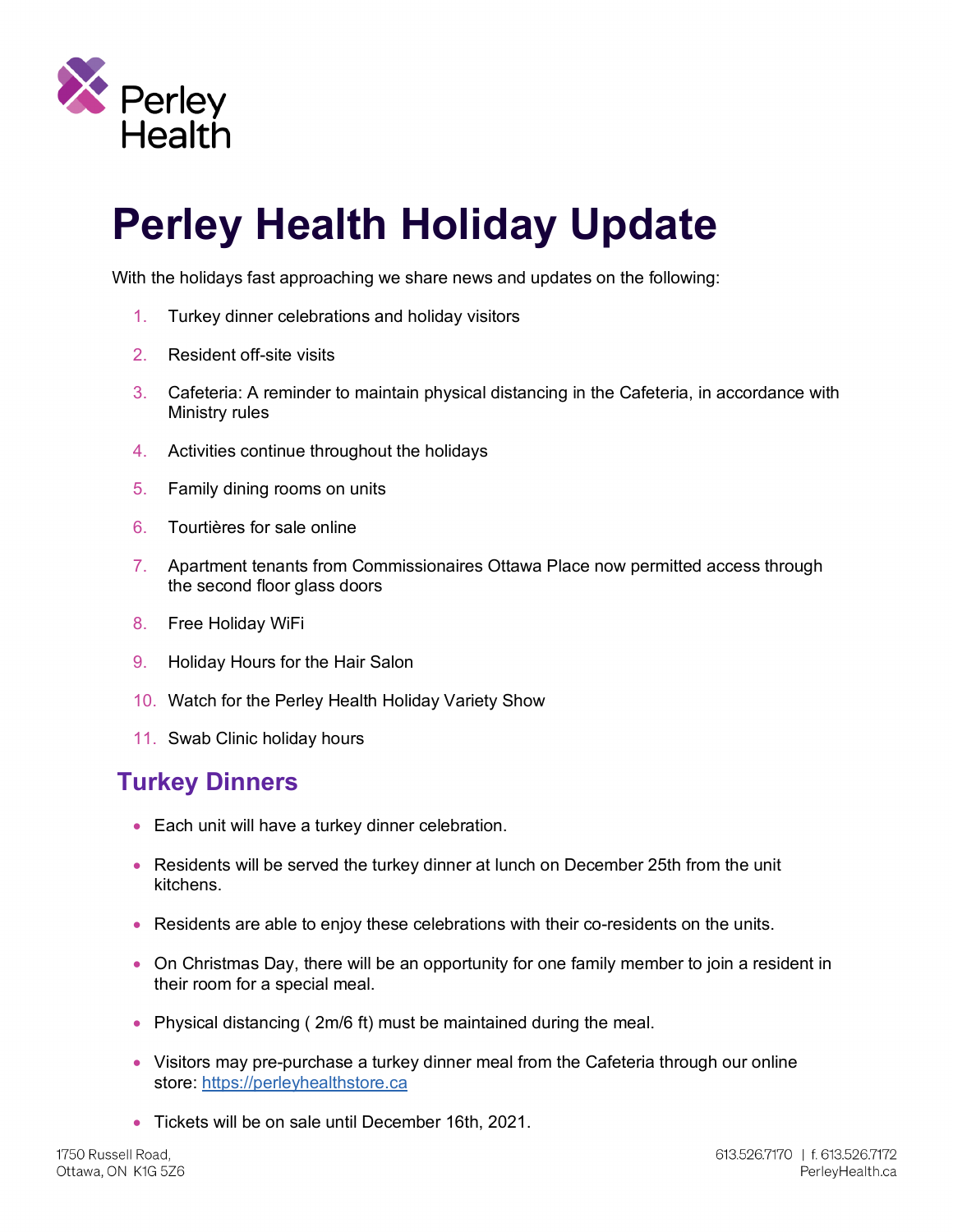

# **Perley Health Holiday Update**

With the holidays fast approaching we share news and updates on the following:

- 1. Turkey dinner celebrations and holiday visitors
- 2. Resident off-site visits
- 3. Cafeteria: A reminder to maintain physical distancing in the Cafeteria, in accordance with Ministry rules
- 4. Activities continue throughout the holidays
- 5. Family dining rooms on units
- 6. Tourtières for sale online
- 7. Apartment tenants from Commissionaires Ottawa Place now permitted access through the second floor glass doors
- 8. Free Holiday WiFi
- 9. Holiday Hours for the Hair Salon
- 10. Watch for the Perley Health Holiday Variety Show
- 11. Swab Clinic holiday hours

#### **Turkey Dinners**

- Each unit will have a turkey dinner celebration.
- Residents will be served the turkey dinner at lunch on December 25th from the unit kitchens.
- Residents are able to enjoy these celebrations with their co-residents on the units.
- On Christmas Day, there will be an opportunity for one family member to join a resident in their room for a special meal.
- Physical distancing (2m/6 ft) must be maintained during the meal.
- Visitors may pre-purchase a turkey dinner meal from the Cafeteria through our online store: https://perleyhealthstore.ca
- Tickets will be on sale until December 16th, 2021.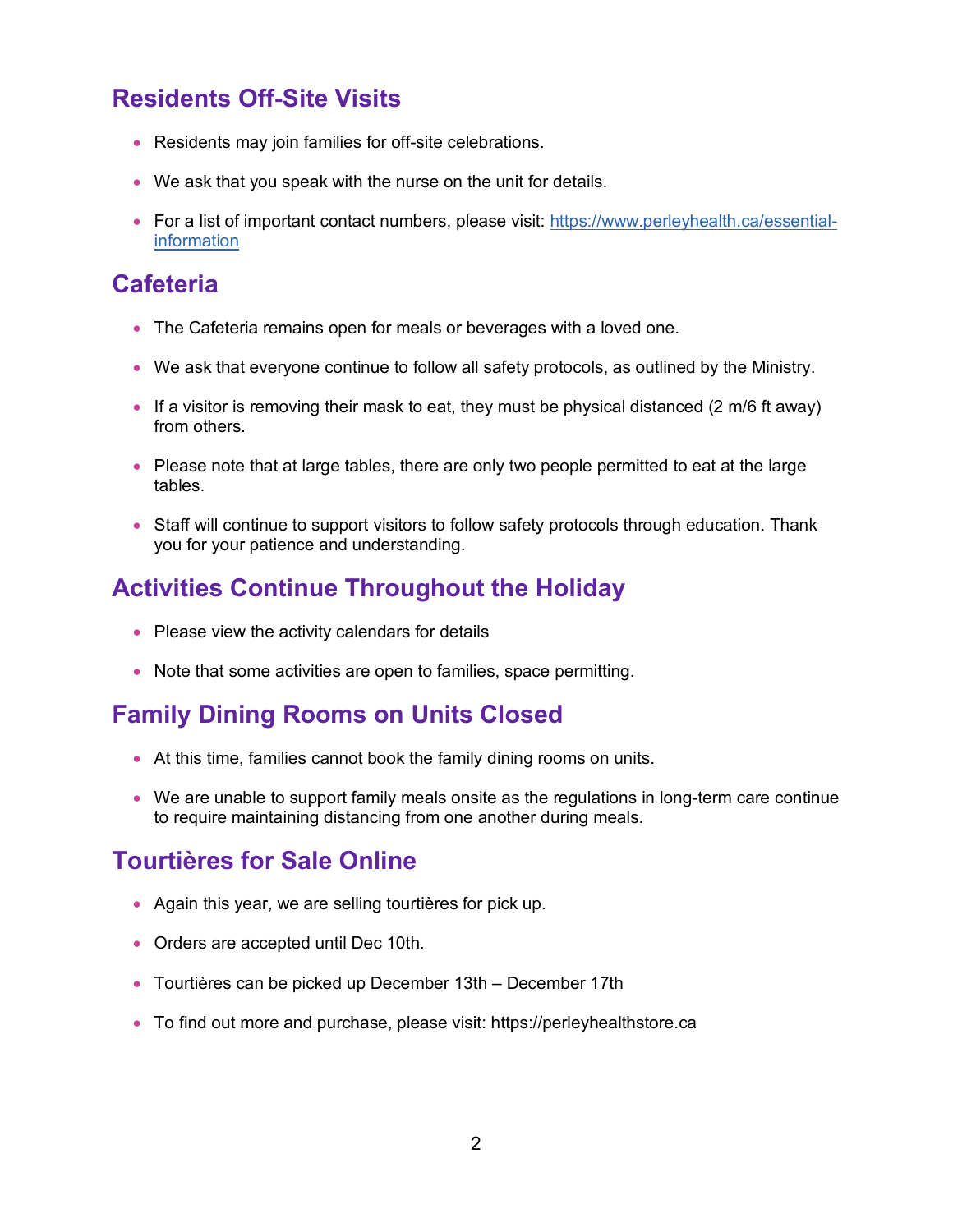# **Residents Off-Site Visits**

- Residents may join families for off-site celebrations.
- We ask that you speak with the nurse on the unit for details.
- For a list of important contact numbers, please visit: https://www.perleyhealth.ca/essentialinformation

#### **Cafeteria**

- The Cafeteria remains open for meals or beverages with a loved one.
- We ask that everyone continue to follow all safety protocols, as outlined by the Ministry.
- If a visitor is removing their mask to eat, they must be physical distanced  $(2 \text{ m/6 ft away})$ from others.
- Please note that at large tables, there are only two people permitted to eat at the large tables.
- Staff will continue to support visitors to follow safety protocols through education. Thank you for your patience and understanding.

# **Activities Continue Throughout the Holiday**

- Please view the activity calendars for details
- Note that some activities are open to families, space permitting.

## **Family Dining Rooms on Units Closed**

- At this time, families cannot book the family dining rooms on units.
- We are unable to support family meals onsite as the regulations in long-term care continue to require maintaining distancing from one another during meals.

## **Tourtières for Sale Online**

- Again this year, we are selling tourtières for pick up.
- Orders are accepted until Dec 10th.
- Tourtières can be picked up December 13th December 17th
- To find out more and purchase, please visit: https://perleyhealthstore.ca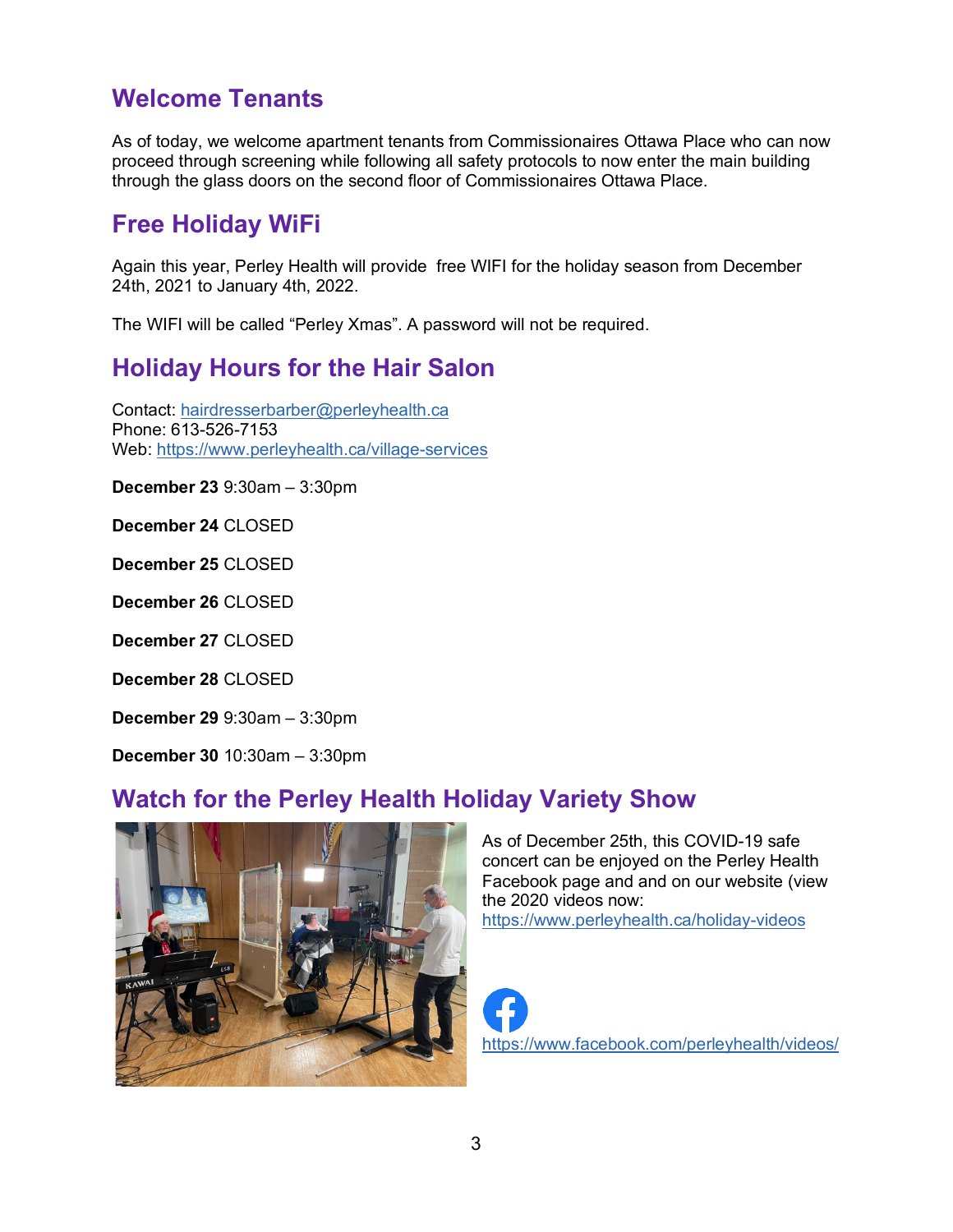# **Welcome Tenants**

As of today, we welcome apartment tenants from Commissionaires Ottawa Place who can now proceed through screening while following all safety protocols to now enter the main building through the glass doors on the second floor of Commissionaires Ottawa Place.

#### **Free Holiday WiFi**

Again this year, Perley Health will provide free WIFI for the holiday season from December 24th, 2021 to January 4th, 2022.

The WIFI will be called "Perley Xmas". A password will not be required.

# **Holiday Hours for the Hair Salon**

Contact: hairdresserbarber@perleyhealth.ca Phone: 613-526-7153 Web: https://www.perleyhealth.ca/village-services

**December 23** 9:30am – 3:30pm

**December 24** CLOSED

**December 25** CLOSED

**December 26** CLOSED

**December 27** CLOSED

**December 28** CLOSED

**December 29** 9:30am – 3:30pm

**December 30** 10:30am – 3:30pm

## **Watch for the Perley Health Holiday Variety Show**



As of December 25th, this COVID-19 safe concert can be enjoyed on the Perley Health Facebook page and and on our website (view the 2020 videos now:

https://www.perleyhealth.ca/holiday-videos

https://www.facebook.com/perleyhealth/videos/